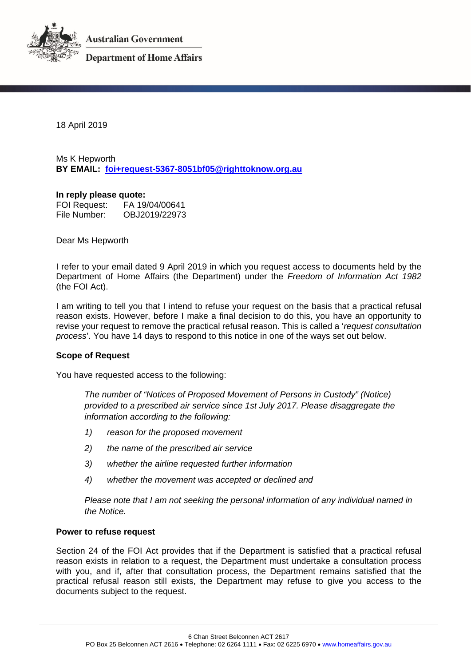

**Australian Government** 

**Department of Home Affairs** 

18 April 2019

Ms K Hepworth **BY EMAIL: [foi+request-5367-8051bf05@righttoknow.org.au](mailto:xxxxxxxxxxxxxxxxxxxxxxxxx@xxxxxxxxxxx.xxx.xx)**

#### **In reply please quote:**

FOI Request: FA 19/04/00641 OBJ2019/22973

Dear Ms Hepworth

I refer to your email dated 9 April 2019 in which you request access to documents held by the Department of Home Affairs (the Department) under the *Freedom of Information Act 1982* (the FOI Act).

I am writing to tell you that I intend to refuse your request on the basis that a practical refusal reason exists. However, before I make a final decision to do this, you have an opportunity to revise your request to remove the practical refusal reason. This is called a '*request consultation process*'. You have 14 days to respond to this notice in one of the ways set out below.

### **Scope of Request**

You have requested access to the following:

*The number of "Notices of Proposed Movement of Persons in Custody" (Notice) provided to a prescribed air service since 1st July 2017. Please disaggregate the information according to the following:*

- *1) reason for the proposed movement*
- *2) the name of the prescribed air service*
- *3) whether the airline requested further information*
- *4) whether the movement was accepted or declined and*

*Please note that I am not seeking the personal information of any individual named in the Notice.*

### **Power to refuse request**

Section 24 of the FOI Act provides that if the Department is satisfied that a practical refusal reason exists in relation to a request, the Department must undertake a consultation process with you, and if, after that consultation process, the Department remains satisfied that the practical refusal reason still exists, the Department may refuse to give you access to the documents subject to the request.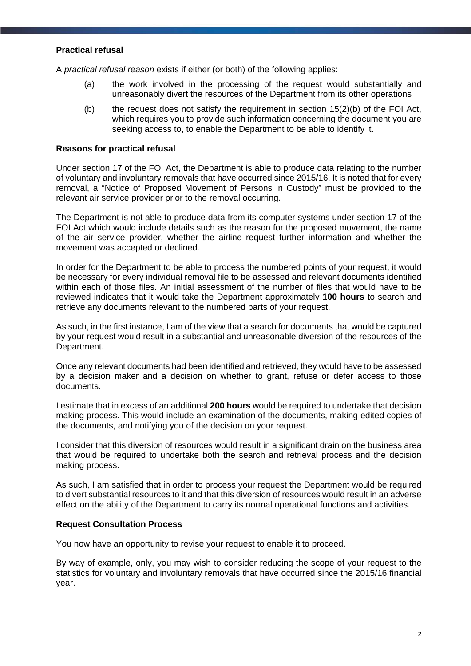# **Practical refusal**

A *practical refusal reason* exists if either (or both) of the following applies:

- (a) the work involved in the processing of the request would substantially and unreasonably divert the resources of the Department from its other operations
- (b) the request does not satisfy the requirement in section  $15(2)(b)$  of the FOI Act, which requires you to provide such information concerning the document you are seeking access to, to enable the Department to be able to identify it.

### **Reasons for practical refusal**

Under section 17 of the FOI Act, the Department is able to produce data relating to the number of voluntary and involuntary removals that have occurred since 2015/16. It is noted that for every removal, a "Notice of Proposed Movement of Persons in Custody" must be provided to the relevant air service provider prior to the removal occurring.

The Department is not able to produce data from its computer systems under section 17 of the FOI Act which would include details such as the reason for the proposed movement, the name of the air service provider, whether the airline request further information and whether the movement was accepted or declined.

In order for the Department to be able to process the numbered points of your request, it would be necessary for every individual removal file to be assessed and relevant documents identified within each of those files. An initial assessment of the number of files that would have to be reviewed indicates that it would take the Department approximately **100 hours** to search and retrieve any documents relevant to the numbered parts of your request.

As such, in the first instance, I am of the view that a search for documents that would be captured by your request would result in a substantial and unreasonable diversion of the resources of the Department.

Once any relevant documents had been identified and retrieved, they would have to be assessed by a decision maker and a decision on whether to grant, refuse or defer access to those documents.

I estimate that in excess of an additional **200 hours** would be required to undertake that decision making process. This would include an examination of the documents, making edited copies of the documents, and notifying you of the decision on your request.

I consider that this diversion of resources would result in a significant drain on the business area that would be required to undertake both the search and retrieval process and the decision making process.

As such, I am satisfied that in order to process your request the Department would be required to divert substantial resources to it and that this diversion of resources would result in an adverse effect on the ability of the Department to carry its normal operational functions and activities.

#### **Request Consultation Process**

You now have an opportunity to revise your request to enable it to proceed.

By way of example, only, you may wish to consider reducing the scope of your request to the statistics for voluntary and involuntary removals that have occurred since the 2015/16 financial year.